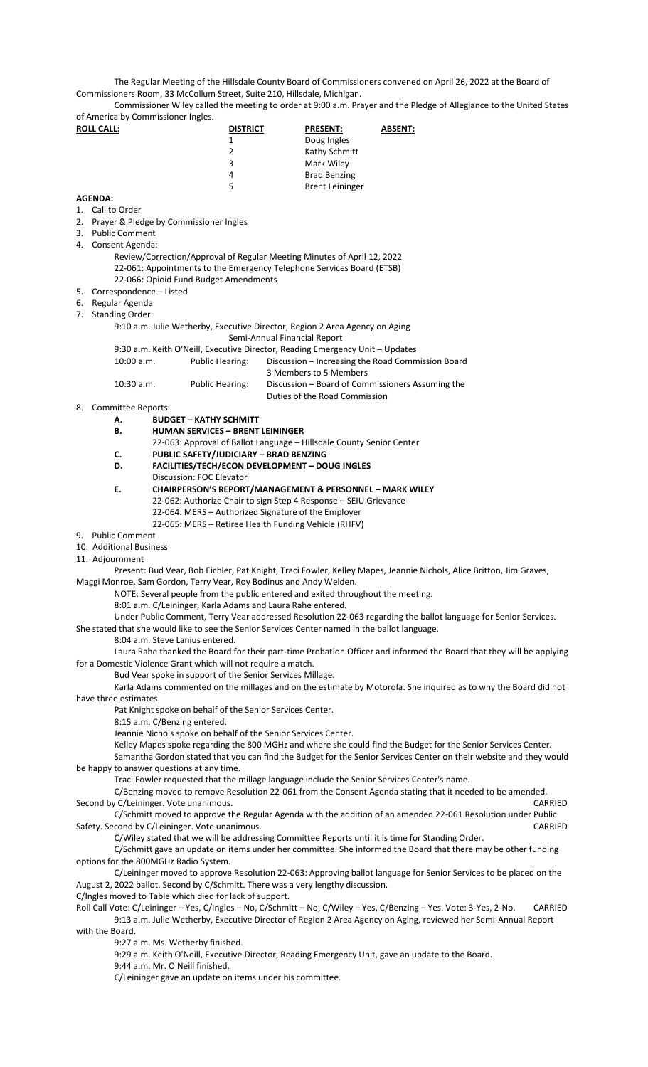The Regular Meeting of the Hillsdale County Board of Commissioners convened on April 26, 2022 at the Board of Commissioners Room, 33 McCollum Street, Suite 210, Hillsdale, Michigan.

Commissioner Wiley called the meeting to order at 9:00 a.m. Prayer and the Pledge of Allegiance to the United States of America by Commissioner Ingles.

| <b>ROLL CALL:</b>             | <b>DISTRICT</b>                                                                                             | <b>PRESENT:</b>        | <b>ABSENT:</b> |
|-------------------------------|-------------------------------------------------------------------------------------------------------------|------------------------|----------------|
|                               | 1                                                                                                           | Doug Ingles            |                |
|                               | $\overline{2}$                                                                                              | Kathy Schmitt          |                |
|                               | 3                                                                                                           | Mark Wiley             |                |
|                               | 4                                                                                                           | <b>Brad Benzing</b>    |                |
|                               | 5                                                                                                           | <b>Brent Leininger</b> |                |
| <b>AGENDA:</b>                |                                                                                                             |                        |                |
| Call to Order<br>1.           |                                                                                                             |                        |                |
| 2.                            | Prayer & Pledge by Commissioner Ingles                                                                      |                        |                |
| <b>Public Comment</b><br>3.   |                                                                                                             |                        |                |
| 4. Consent Agenda:            |                                                                                                             |                        |                |
|                               | Review/Correction/Approval of Regular Meeting Minutes of April 12, 2022                                     |                        |                |
|                               | 22-061: Appointments to the Emergency Telephone Services Board (ETSB)                                       |                        |                |
|                               | 22-066: Opioid Fund Budget Amendments                                                                       |                        |                |
| Correspondence - Listed<br>5. |                                                                                                             |                        |                |
| Regular Agenda<br>6.          |                                                                                                             |                        |                |
| <b>Standing Order:</b><br>7.  |                                                                                                             |                        |                |
|                               | 9:10 a.m. Julie Wetherby, Executive Director, Region 2 Area Agency on Aging<br>Semi-Annual Financial Report |                        |                |

9:30 a.m. Keith O'Neill, Executive Director, Reading Emergency Unit – Updates 10:00 a.m. Public Hearing: Discussion – Increasing the Road Commission Board 3 Members to 5 Members 10:30 a.m. Public Hearing: Discussion – Board of Commissioners Assuming the Duties of the Road Commission

- 8. Committee Reports:
	- **A. BUDGET – KATHY SCHMITT**
	- **B. HUMAN SERVICES – BRENT LEININGER**
	- 22-063: Approval of Ballot Language Hillsdale County Senior Center
	- **C. PUBLIC SAFETY/JUDICIARY – BRAD BENZING**
	- **D. FACILITIES/TECH/ECON DEVELOPMENT – DOUG INGLES**
	- Discussion: FOC Elevator
	- **E. CHAIRPERSON'S REPORT/MANAGEMENT & PERSONNEL – MARK WILEY** 22-062: Authorize Chair to sign Step 4 Response – SEIU Grievance 22-064: MERS – Authorized Signature of the Employer
		- 22-065: MERS Retiree Health Funding Vehicle (RHFV)
- 9. Public Comment
- 10. Additional Business
- 11. Adjournment

Present: Bud Vear, Bob Eichler, Pat Knight, Traci Fowler, Kelley Mapes, Jeannie Nichols, Alice Britton, Jim Graves, Maggi Monroe, Sam Gordon, Terry Vear, Roy Bodinus and Andy Welden.

NOTE: Several people from the public entered and exited throughout the meeting.

8:01 a.m. C/Leininger, Karla Adams and Laura Rahe entered.

- Under Public Comment, Terry Vear addressed Resolution 22-063 regarding the ballot language for Senior Services.
- She stated that she would like to see the Senior Services Center named in the ballot language.
	- 8:04 a.m. Steve Lanius entered.

Laura Rahe thanked the Board for their part-time Probation Officer and informed the Board that they will be applying for a Domestic Violence Grant which will not require a match.

Bud Vear spoke in support of the Senior Services Millage.

Karla Adams commented on the millages and on the estimate by Motorola. She inquired as to why the Board did not have three estimates.

Pat Knight spoke on behalf of the Senior Services Center.

- 8:15 a.m. C/Benzing entered.
- Jeannie Nichols spoke on behalf of the Senior Services Center.

Kelley Mapes spoke regarding the 800 MGHz and where she could find the Budget for the Senior Services Center.

Samantha Gordon stated that you can find the Budget for the Senior Services Center on their website and they would be happy to answer questions at any time.

Traci Fowler requested that the millage language include the Senior Services Center's name.

C/Benzing moved to remove Resolution 22-061 from the Consent Agenda stating that it needed to be amended.<br>C/Leininger. Vote unanimous. Second by C/Leininger. Vote unanimous.

C/Schmitt moved to approve the Regular Agenda with the addition of an amended 22-061 Resolution under Public<br>CARRIED Cond by C/Leininger. Vote unanimous. Safety. Second by C/Leininger. Vote unanimous.

C/Wiley stated that we will be addressing Committee Reports until it is time for Standing Order.

C/Schmitt gave an update on items under her committee. She informed the Board that there may be other funding options for the 800MGHz Radio System.

C/Leininger moved to approve Resolution 22-063: Approving ballot language for Senior Services to be placed on the August 2, 2022 ballot. Second by C/Schmitt. There was a very lengthy discussion.

C/Ingles moved to Table which died for lack of support.

Roll Call Vote: C/Leininger – Yes, C/Ingles – No, C/Schmitt – No, C/Wiley – Yes, C/Benzing – Yes. Vote: 3-Yes, 2-No. CARRIED 9:13 a.m. Julie Wetherby, Executive Director of Region 2 Area Agency on Aging, reviewed her Semi-Annual Report with the Board.

9:27 a.m. Ms. Wetherby finished.

9:29 a.m. Keith O'Neill, Executive Director, Reading Emergency Unit, gave an update to the Board.

9:44 a.m. Mr. O'Neill finished.

C/Leininger gave an update on items under his committee.